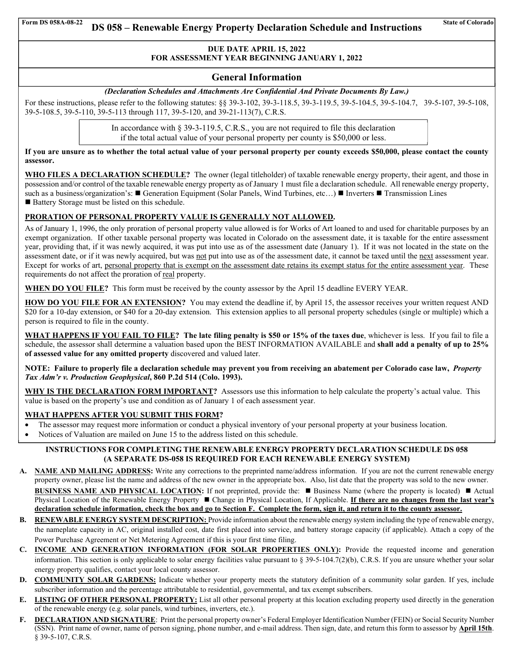## **DUE DATE APRIL 15, 2022 FOR ASSESSMENT YEAR BEGINNING JANUARY 1, 2022**

### **General Information**

#### *(Declaration Schedules and Attachments Are Confidential And Private Documents By Law.)*

For these instructions, please refer to the following statutes: §§ 39-3-102, 39-3-118.5, 39-3-119.5, 39-5-104.5, 39-5-104.7, 39-5-107, 39-5-108, 39-5-108.5, 39-5-110, 39-5-113 through 117, 39-5-120, and 39-21-113(7), C.R.S.

> In accordance with § 39-3-119.5, C.R.S., you are not required to file this declaration if the total actual value of your personal property per county is \$50,000 or less.

**If you are unsure as to whether the total actual value of your personal property per county exceeds \$50,000, please contact the county assessor.** 

WHO FILES A DECLARATION SCHEDULE? The owner (legal titleholder) of taxable renewable energy property, their agent, and those in possession and/or control of the taxable renewable energy property as of January 1 must file a declaration schedule. All renewable energy property, such as a business/organization's:  $\blacksquare$  Generation Equipment (Solar Panels, Wind Turbines, etc...)  $\blacksquare$  Inverters  $\blacksquare$  Transmission Lines ■ Battery Storage must be listed on this schedule.

#### **PRORATION OF PERSONAL PROPERTY VALUE IS GENERALLY NOT ALLOWED.**

As of January 1, 1996, the only proration of personal property value allowed is for Works of Art loaned to and used for charitable purposes by an exempt organization. If other taxable personal property was located in Colorado on the assessment date, it is taxable for the entire assessment year, providing that, if it was newly acquired, it was put into use as of the assessment date (January 1). If it was not located in the state on the assessment date, or if it was newly acquired, but was not put into use as of the assessment date, it cannot be taxed until the next assessment year. Except for works of art, personal property that is exempt on the assessment date retains its exempt status for the entire assessment year. These requirements do not affect the proration of real property.

**WHEN DO YOU FILE?** This form must be received by the county assessor by the April 15 deadline EVERY YEAR.

**HOW DO YOU FILE FOR AN EXTENSION?** You may extend the deadline if, by April 15, the assessor receives your written request AND \$20 for a 10-day extension, or \$40 for a 20-day extension. This extension applies to all personal property schedules (single or multiple) which a person is required to file in the county.

**WHAT HAPPENS IF YOU FAIL TO FILE? The late filing penalty is \$50 or 15% of the taxes due**, whichever is less. If you fail to file a schedule, the assessor shall determine a valuation based upon the BEST INFORMATION AVAILABLE and **shall add a penalty of up to 25% of assessed value for any omitted property** discovered and valued later.

**NOTE: Failure to properly file a declaration schedule may prevent you from receiving an abatement per Colorado case law,** *Property Tax Adm'r v. Production Geophysical***, 860 P.2d 514 (Colo. 1993).** 

**WHY IS THE DECLARATION FORM IMPORTANT?** Assessors use this information to help calculate the property's actual value. This value is based on the property's use and condition as of January 1 of each assessment year.

#### **WHAT HAPPENS AFTER YOU SUBMIT THIS FORM?**

the contract of the contract of the contract of

- The assessor may request more information or conduct a physical inventory of your personal property at your business location.
- Notices of Valuation are mailed on June 15 to the address listed on this schedule.

#### **INSTRUCTIONS FOR COMPLETING THE RENEWABLE ENERGY PROPERTY DECLARATION SCHEDULE DS 058 (A SEPARATE DS-058 IS REQUIRED FOR EACH RENEWABLE ENERGY SYSTEM)**

**A. NAME AND MAILING ADDRESS:** Write any corrections to the preprinted name/address information. If you are not the current renewable energy property owner, please list the name and address of the new owner in the appropriate box. Also, list date that the property was sold to the new owner.

**BUSINESS NAME AND PHYSICAL LOCATION:** If not preprinted, provide the: ■ Business Name (where the property is located) ■ Actual Physical Location of the Renewable Energy Property ■ Change in Physical Location, If Applicable. If there are no changes from the last year's **declaration schedule information, check the box and go to Section F. Complete the form, sign it, and return it to the county assessor.**

- **B. RENEWABLE ENERGY SYSTEM DESCRIPTION:** Provide information about the renewable energy system including the type of renewable energy, the nameplate capacity in AC, original installed cost, date first placed into service, and battery storage capacity (if applicable). Attach a copy of the Power Purchase Agreement or Net Metering Agreement if this is your first time filing.
- **C. INCOME AND GENERATION INFORMATION (FOR SOLAR PROPERTIES ONLY):** Provide the requested income and generation information. This section is only applicable to solar energy facilities value pursuant to § 39-5-104.7(2)(b), C.R.S. If you are unsure whether your solar energy property qualifies, contact your local county assessor.
- **D. COMMUNITY SOLAR GARDENS:** Indicate whether your property meets the statutory definition of a community solar garden. If yes, include subscriber information and the percentage attributable to residential, governmental, and tax exempt subscribers.
- **E. LISTING OF OTHER PERSONAL PROPERTY:** List all other personal property at this location excluding property used directly in the generation of the renewable energy (e.g. solar panels, wind turbines, inverters, etc.).
- **F. DECLARATION AND SIGNATURE**: Print the personal property owner's Federal Employer Identification Number (FEIN) or Social Security Number (SSN). Print name of owner, name of person signing, phone number, and e-mail address. Then sign, date, and return this form to assessor by **April 15th**. § 39-5-107, C.R.S.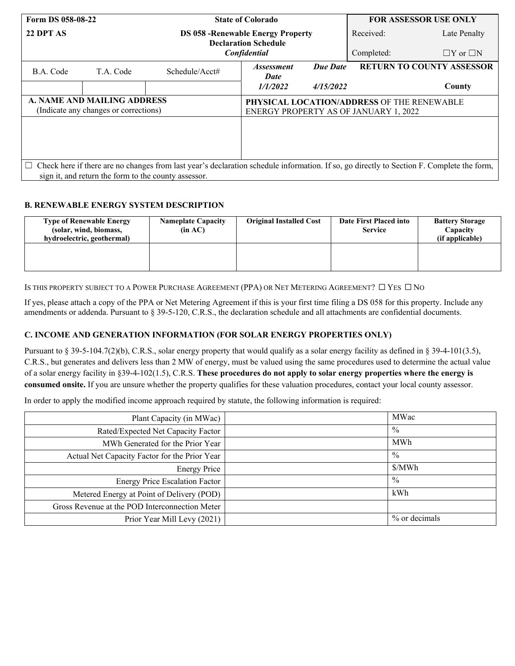| Form DS 058-08-22                                                    |           | <b>State of Colorado</b>                                                                                                                         |                                                                                     |           | <b>FOR ASSESSOR USE ONLY</b> |                                  |
|----------------------------------------------------------------------|-----------|--------------------------------------------------------------------------------------------------------------------------------------------------|-------------------------------------------------------------------------------------|-----------|------------------------------|----------------------------------|
| 22 DPT AS                                                            |           |                                                                                                                                                  | <b>DS 058 - Renewable Energy Property</b><br><b>Declaration Schedule</b>            |           | Received:                    | Late Penalty                     |
|                                                                      |           | Confidential                                                                                                                                     |                                                                                     |           | Completed:                   | $\Box Y$ or $\Box N$             |
| B.A. Code                                                            | T.A. Code | Schedule/Acct#                                                                                                                                   | <i><b>Assessment</b></i><br>Date                                                    | Due Date  |                              | <b>RETURN TO COUNTY ASSESSOR</b> |
|                                                                      |           |                                                                                                                                                  | <i>1/1/2022</i>                                                                     | 4/15/2022 |                              | County                           |
| A. NAME AND MAILING ADDRESS<br>(Indicate any changes or corrections) |           |                                                                                                                                                  | PHYSICAL LOCATION/ADDRESS OF THE RENEWABLE<br>ENERGY PROPERTY AS OF JANUARY 1, 2022 |           |                              |                                  |
|                                                                      |           |                                                                                                                                                  |                                                                                     |           |                              |                                  |
|                                                                      |           |                                                                                                                                                  |                                                                                     |           |                              |                                  |
|                                                                      |           |                                                                                                                                                  |                                                                                     |           |                              |                                  |
|                                                                      |           | $\Box$ Check here if there are no changes from last year's declaration schedule information. If so, go directly to Section F. Complete the form, |                                                                                     |           |                              |                                  |
|                                                                      |           | sign it, and return the form to the county assessor.                                                                                             |                                                                                     |           |                              |                                  |

### **B. RENEWABLE ENERGY SYSTEM DESCRIPTION**

| <b>Type of Renewable Energy</b><br>(solar, wind, biomass,<br>hydroelectric, geothermal) | <b>Nameplate Capacity</b><br>(in AC) | <b>Original Installed Cost</b> | Date First Placed into<br><b>Service</b> | <b>Battery Storage</b><br>Capacity<br>(if applicable) |
|-----------------------------------------------------------------------------------------|--------------------------------------|--------------------------------|------------------------------------------|-------------------------------------------------------|
|                                                                                         |                                      |                                |                                          |                                                       |

IS THIS PROPERTY SUBJECT TO A POWER PURCHASE AGREEMENT (PPA) OR NET METERING AGREEMENT? □ YES □ NO

If yes, please attach a copy of the PPA or Net Metering Agreement if this is your first time filing a DS 058 for this property. Include any amendments or addenda. Pursuant to § 39-5-120, C.R.S., the declaration schedule and all attachments are confidential documents.

## **C. INCOME AND GENERATION INFORMATION (FOR SOLAR ENERGY PROPERTIES ONLY)**

Pursuant to § 39-5-104.7(2)(b), C.R.S., solar energy property that would qualify as a solar energy facility as defined in § 39-4-101(3.5), C.R.S., but generates and delivers less than 2 MW of energy, must be valued using the same procedures used to determine the actual value of a solar energy facility in §39-4-102(1.5), C.R.S. **These procedures do not apply to solar energy properties where the energy is consumed onsite.** If you are unsure whether the property qualifies for these valuation procedures, contact your local county assessor.

In order to apply the modified income approach required by statute, the following information is required:

| Plant Capacity (in MWac)                       | MWac          |
|------------------------------------------------|---------------|
| Rated/Expected Net Capacity Factor             | $\frac{0}{0}$ |
| MWh Generated for the Prior Year               | MWh           |
| Actual Net Capacity Factor for the Prior Year  | $\frac{0}{0}$ |
| <b>Energy Price</b>                            | \$/MWh        |
| <b>Energy Price Escalation Factor</b>          | $\frac{0}{0}$ |
| Metered Energy at Point of Delivery (POD)      | kWh           |
| Gross Revenue at the POD Interconnection Meter |               |
| Prior Year Mill Levy (2021)                    | % or decimals |